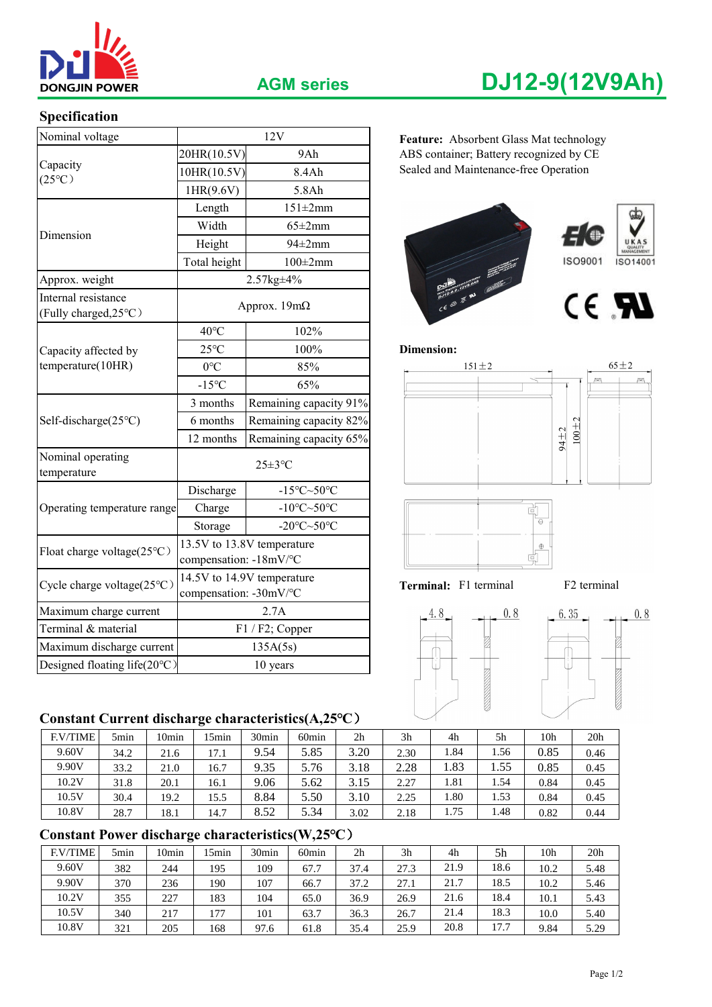

# **Specification**

| Nominal voltage                              |                                                            | 12V                                           | Feature: Absorbent Glass Mat technology |
|----------------------------------------------|------------------------------------------------------------|-----------------------------------------------|-----------------------------------------|
|                                              | 20HR(10.5V)<br>9Ah                                         |                                               | ABS container; Battery recognized by CE |
| Capacity<br>$(25^{\circ}C)$                  | 10HR(10.5V)<br>8.4Ah                                       |                                               | Sealed and Maintenance-free Operation   |
|                                              | 1HR(9.6V)                                                  | 5.8Ah                                         |                                         |
|                                              | Length<br>$151 \pm 2mm$                                    |                                               |                                         |
| Dimension                                    | Width<br>$65 \pm 2$ mm                                     |                                               |                                         |
|                                              | $94\pm2$ mm<br>Height                                      |                                               |                                         |
|                                              | Total height<br>$100\pm2mm$                                |                                               | ISO9001<br>ISO14001                     |
| Approx. weight                               |                                                            | 2.57kg±4%                                     |                                         |
| Internal resistance<br>(Fully charged, 25°C) |                                                            | Approx. $19m\Omega$                           | CE RU                                   |
|                                              | $40^{\circ}$ C                                             | 102%                                          |                                         |
| Capacity affected by                         | $25^{\circ}$ C<br>100%                                     |                                               | <b>Dimension:</b>                       |
| temperature(10HR)                            | 85%<br>$0^{\circ}C$                                        |                                               | $65 \pm 2$<br>$151 \pm 2$               |
|                                              | $-15^{\circ}C$                                             | 65%                                           |                                         |
|                                              | Remaining capacity 91%<br>3 months                         |                                               |                                         |
| Self-discharge(25°C)                         | Remaining capacity 82%<br>6 months                         |                                               |                                         |
|                                              | Remaining capacity 65%<br>12 months                        |                                               | $100 + 2$<br>94±2                       |
| Nominal operating<br>temperature             | $25 \pm 3$ °C                                              |                                               |                                         |
|                                              | Discharge<br>-15 $\textdegree$ C $\sim$ 50 $\textdegree$ C |                                               |                                         |
| Operating temperature range                  | -10 $\textdegree$ C $\sim$ 50 $\textdegree$ C<br>Charge    |                                               | 흯                                       |
|                                              | Storage                                                    | -20 $\textdegree$ C $\sim$ 50 $\textdegree$ C | $\Theta$                                |
| Float charge voltage(25°C)                   | compensation: -18mV/°C                                     | 13.5V to 13.8V temperature                    | $\oplus$<br>ď                           |
| Cycle charge voltage $(25^{\circ}C)$         | 14.5V to 14.9V temperature<br>compensation: -30mV/°C       |                                               | Terminal: F1 terminal<br>F2 terminal    |
| Maximum charge current                       | 2.7A                                                       |                                               | 4.8<br>0.8<br>6.35<br>0.8               |
| Terminal & material                          | $F1 / F2$ ; Copper                                         |                                               |                                         |
| Maximum discharge current                    |                                                            | 135A(5s)                                      |                                         |
| Designed floating life(20°C)                 |                                                            | 10 years                                      |                                         |

## **Constant Current discharge characteristics(A,25℃**)

| <b>F.V/TIME</b> | 5 <sub>min</sub> | l Omin | 5min | 30min | 60 <sub>min</sub> | 2 <sub>h</sub> | 3 <sub>h</sub> | 4h   | 5h   | 10h  | 20 <sub>h</sub> |
|-----------------|------------------|--------|------|-------|-------------------|----------------|----------------|------|------|------|-----------------|
| 9.60V           | 34.2             | 21.6   | 17.1 | 9.54  | 5.85              | 3.20           | 2.30           | 1.84 | 1.56 | 0.85 | 0.46            |
| 9.90V           | 33.2             | 21.0   | 16.7 | 9.35  | 5.76              | 3.18           | 2.28           | 1.83 | 1.55 | 0.85 | 0.45            |
| 10.2V           | 31.8             | 20.1   | 16.1 | 9.06  | 5.62              | 3.15           | 2.27           | 1.81 | 1.54 | 0.84 | 0.45            |
| 10.5V           | 30.4             | 19.2   | 15.5 | 8.84  | 5.50              | 3.10           | 2.25           | 1.80 | 1.53 | 0.84 | 0.45            |
| 10.8V           | 28.7             | 18.1   | 14.7 | 8.52  | 5.34              | 3.02           | 2.18           | 1.75 | 1.48 | 0.82 | 0.44            |

# **Constant Power discharge characteristics(W,25℃**)

| <b>F.V/TIME</b> | 5min | 10min | 5 <sub>min</sub> | 30 <sub>min</sub> | 60 <sub>min</sub> | 2 <sub>h</sub> | 3 <sub>h</sub> | 4h   | 5h   | 10h  | 20 <sub>h</sub> |
|-----------------|------|-------|------------------|-------------------|-------------------|----------------|----------------|------|------|------|-----------------|
| 9.60V           | 382  | 244   | 195              | 109               | 67.7              | 37.4           | 27.3           | 21.9 | 18.6 | 10.2 | 5.48            |
| 9.90V           | 370  | 236   | 190              | 107               | 66.7              | 37.2           | 27.1           | 21.7 | 18.5 | 10.2 | 5.46            |
| 10.2V           | 355  | 227   | 183              | 104               | 65.0              | 36.9           | 26.9           | 21.6 | 18.4 | 10.1 | 5.43            |
| 10.5V           | 340  | 217   | 177              | 101               | 63.7              | 36.3           | 26.7           | 21.4 | 18.3 | 10.0 | 5.40            |
| 10.8V           | 321  | 205   | 168              | 97.6              | 61.8              | 35.4           | 25.9           | 20.8 | 17.7 | 9.84 | 5.29            |

# **AGM series DJ12-9(12V9Ah)**

Feature: Absorbent Glass Mat technology 20HR(10.5V) 9Ah ABS container; Battery recognized by CE